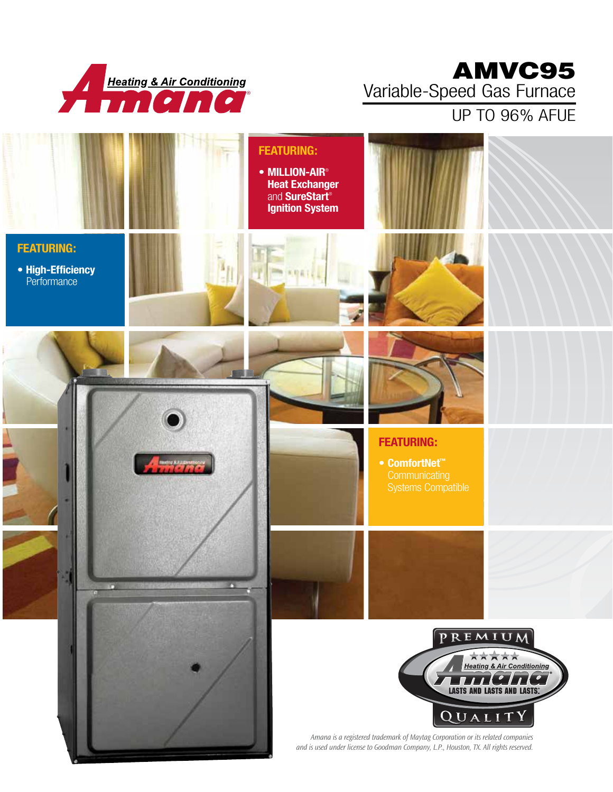

## AMVC95 Variable-Speed Gas Furnace

UP TO 96% AFUE

|                                                       |   | <b>FEATURING:</b><br>• MILLION-AIR <sup>®</sup><br><b>Heat Exchanger</b><br>and <b>SureStart</b> ®<br><b>Ignition System</b> |                                                                                                                                      |                                                                                                                  |
|-------------------------------------------------------|---|------------------------------------------------------------------------------------------------------------------------------|--------------------------------------------------------------------------------------------------------------------------------------|------------------------------------------------------------------------------------------------------------------|
| <b>FEATURING:</b><br>• High-Efficiency<br>Performance |   |                                                                                                                              |                                                                                                                                      |                                                                                                                  |
|                                                       |   |                                                                                                                              |                                                                                                                                      |                                                                                                                  |
|                                                       |   |                                                                                                                              | <b>FEATURING:</b><br>● ComfortNet™<br>Communicating<br>Systems Compatible                                                            |                                                                                                                  |
| n                                                     | n |                                                                                                                              |                                                                                                                                      |                                                                                                                  |
|                                                       |   |                                                                                                                              | PREMIUM<br>$\mathbf{r}$<br>$\mathbf{r}$<br>QUALITY<br>Amana is a registered trademark of Maytag Corporation or its related companies | ★★★★★<br><b>Heating &amp; Air Conditioning</b><br>$\mathbf{1}$<br>$\bullet$<br><b>LASTS AND LASTS AND LASTS.</b> |
|                                                       |   |                                                                                                                              | and is used under license to Goodman Company, L.P., Houston, TX. All rights reserved.                                                |                                                                                                                  |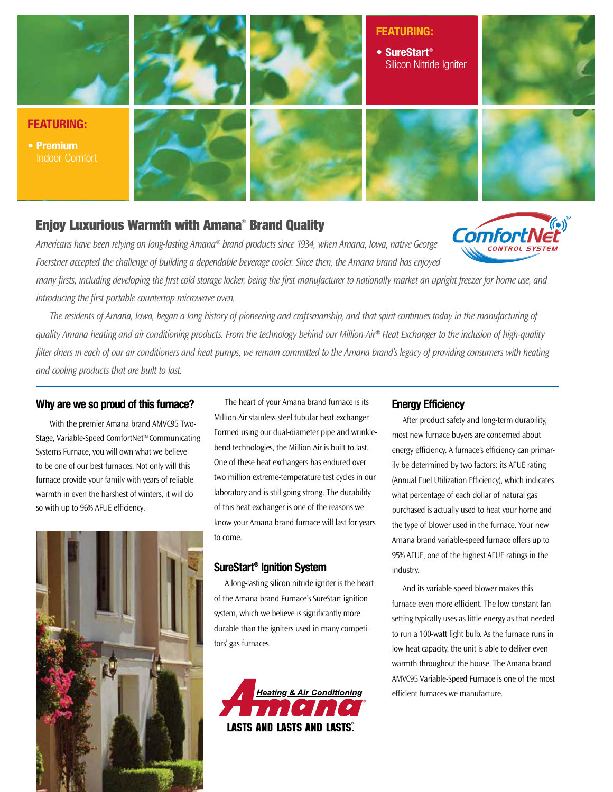

#### Enjoy Luxurious Warmth with Amana® Brand Quality

*Americans have been relying on long-lasting Amana® brand products since 1934, when Amana, Iowa, native George Foerstner accepted the challenge of building a dependable beverage cooler. Since then, the Amana brand has enjoyed* 

*many firsts, including developing the first cold storage locker, being the first manufacturer to nationally market an upright freezer for home use, and introducing the first portable countertop microwave oven.* 

*The residents of Amana, Iowa, began a long history of pioneering and craftsmanship, and that spirit continues today in the manufacturing of quality Amana heating and air conditioning products. From the technology behind our Million-Air® Heat Exchanger to the inclusion of high-quality filter driers in each of our air conditioners and heat pumps, we remain committed to the Amana brand's legacy of providing consumers with heating and cooling products that are built to last.* 

#### **Why are we so proud of this furnace?**

With the premier Amana brand AMVC95 Two-Stage, Variable-Speed ComfortNet™ Communicating Systems Furnace, you will own what we believe to be one of our best furnaces. Not only will this furnace provide your family with years of reliable warmth in even the harshest of winters, it will do so with up to 96% AFUE efficiency.



The heart of your Amana brand furnace is its Million-Air stainless-steel tubular heat exchanger. Formed using our dual-diameter pipe and wrinklebend technologies, the Million-Air is built to last. One of these heat exchangers has endured over two million extreme-temperature test cycles in our laboratory and is still going strong. The durability of this heat exchanger is one of the reasons we know your Amana brand furnace will last for years to come.

#### **SureStart® Ignition System**

A long-lasting silicon nitride igniter is the heart of the Amana brand Furnace's SureStart ignition system, which we believe is significantly more durable than the igniters used in many competitors' gas furnaces.



#### **Energy Efficiency**

After product safety and long-term durability, most new furnace buyers are concerned about energy efficiency. A furnace's efficiency can primarily be determined by two factors: its AFUE rating (Annual Fuel Utilization Efficiency), which indicates what percentage of each dollar of natural gas purchased is actually used to heat your home and the type of blower used in the furnace. Your new Amana brand variable-speed furnace offers up to 95% AFUE, one of the highest AFUE ratings in the industry.

**Comfo** 

And its variable-speed blower makes this furnace even more efficient. The low constant fan setting typically uses as little energy as that needed to run a 100-watt light bulb. As the furnace runs in low-heat capacity, the unit is able to deliver even warmth throughout the house. The Amana brand AMVC95 Variable-Speed Furnace is one of the most efficient furnaces we manufacture.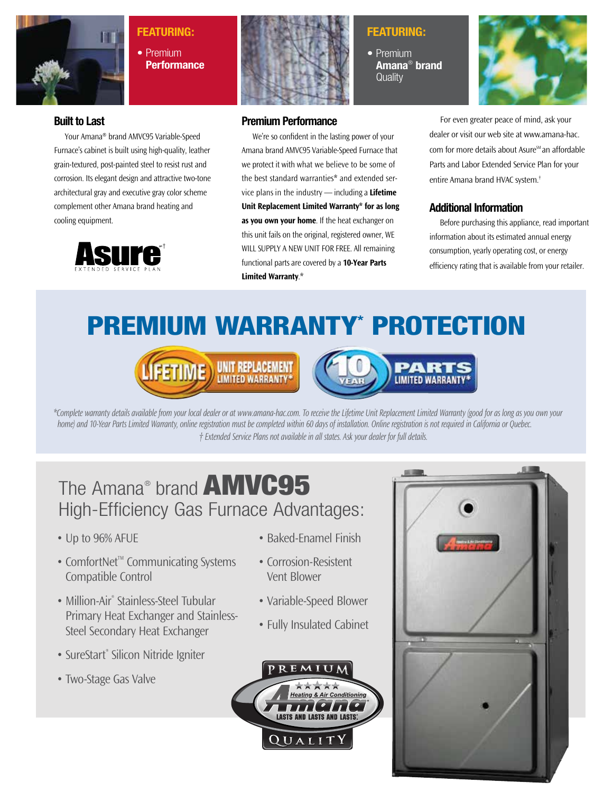

### **Featuring:**

**•** Premium **Performance**



### **Featuring:**

**•** Premium **Amana**®  **brand Quality** 



#### **Built to Last**

Your Amana® brand AMVC95 Variable-Speed Furnace's cabinet is built using high-quality, leather grain-textured, post-painted steel to resist rust and corrosion. Its elegant design and attractive two-tone architectural gray and executive gray color scheme complement other Amana brand heating and cooling equipment.



#### **Premium Performance**

We're so confident in the lasting power of your Amana brand AMVC95 Variable-Speed Furnace that we protect it with what we believe to be some of the best standard warranties\* and extended service plans in the industry — including a **Lifetime Unit Replacement Limited Warranty\* for as long as you own your home**. If the heat exchanger on this unit fails on the original, registered owner, WE WILL SUPPLY A NEW UNIT FOR FREE. All remaining functional parts are covered by a **10-Year Parts Limited Warranty**.\*

For even greater peace of mind, ask your dealer or visit our web site at www.amana-hac. com for more details about Asure<sup>SM</sup> an affordable Parts and Labor Extended Service Plan for your entire Amana brand HVAC system.†

#### **Additional Information**

Before purchasing this appliance, read important information about its estimated annual energy consumption, yearly operating cost, or energy efficiency rating that is available from your retailer.

# premium Warranty\* Protection





*\*Complete warranty details available from your local dealer or at www.amana-hac.com. To receive the Lifetime Unit Replacement Limited Warranty (good for as long as you own your home) and 10-Year Parts Limited Warranty, online registration must be completed within 60 days of installation. Online registration is not required in California or Quebec. † Extended Service Plans not available in all states. Ask your dealer for full details.*

## The Amana® brand **AMVC95** High-Efficiency Gas Furnace Advantages:

- Up to 96% AFUE
- ComfortNet<sup>™</sup> Communicating Systems Compatible Control
- Million-Air<sup>®</sup> Stainless-Steel Tubular Primary Heat Exchanger and Stainless-Steel Secondary Heat Exchanger
- SureStart® Silicon Nitride Igniter
- Two-Stage Gas Valve
- Baked-Enamel Finish
- Corrosion-Resistent Vent Blower
- Variable-Speed Blower
- Fully Insulated Cabinet